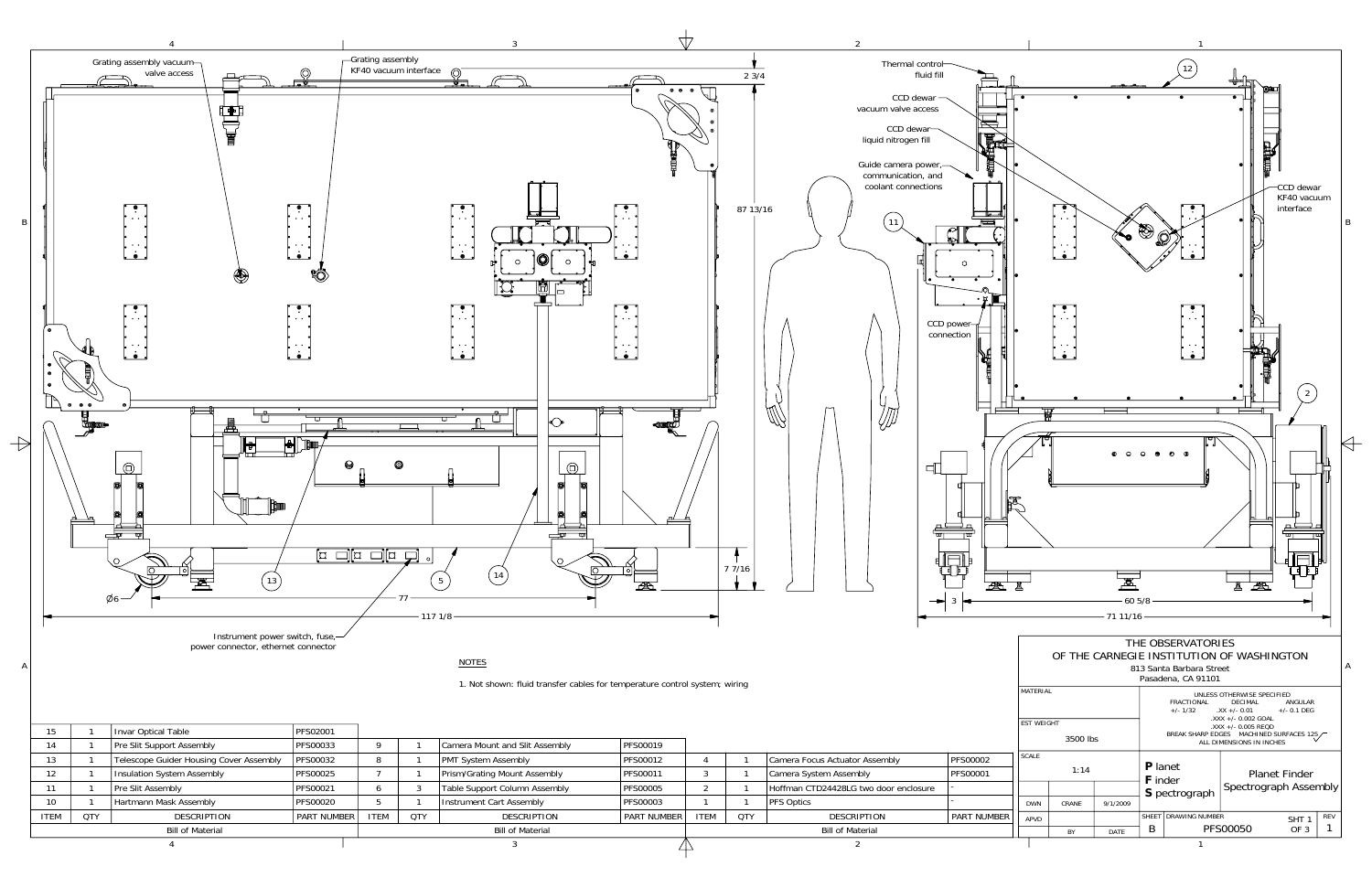

|                         |            | Pre Slit Support Assembly               | PFS00033           |             |                         | Camera Mount and Slit Assembly | PFS00019           |             |                         |                                       |                 |  |
|-------------------------|------------|-----------------------------------------|--------------------|-------------|-------------------------|--------------------------------|--------------------|-------------|-------------------------|---------------------------------------|-----------------|--|
| 13                      |            | Telescope Guider Housing Cover Assembly | PFS00032           |             |                         | <b>PMT System Assembly</b>     | PFS00012           |             |                         | Camera Focus Actuator Assembly        | <b>PFS00002</b> |  |
|                         |            | Insulation System Assembly              | PFS00025           |             |                         | Prism/Grating Mount Assembly   | <b>PFS00011</b>    |             |                         | Camera System Assembly                | <b>PFS00001</b> |  |
|                         |            | <b>Pre Slit Assembly</b>                | PFS00021           |             |                         | Table Support Column Assembly  | <b>PFS00005</b>    |             |                         | Hoffman CTD24428LG two door enclosure |                 |  |
| 10                      |            | Hartmann Mask Assembly                  | PFS00020           |             |                         | Instrument Cart Assembly       | PFS00003           |             |                         | <b>PFS Optics</b>                     |                 |  |
| <b>ITEM</b>             | <b>QTY</b> | <b>DESCRIPTION</b>                      | <b>PART NUMBER</b> | <b>ITEM</b> | <b>OTY</b>              | <b>DESCRIPTION</b>             | <b>PART NUMBER</b> | <b>ITEM</b> | <b>QTY</b>              | <b>DESCRIPTION</b>                    | I PART NUMBER   |  |
| <b>Bill of Material</b> |            |                                         |                    |             | <b>Bill of Material</b> |                                |                    |             | <b>Bill of Material</b> |                                       |                 |  |
|                         |            |                                         |                    |             |                         |                                |                    |             |                         |                                       |                 |  |
|                         |            |                                         |                    |             |                         |                                |                    |             |                         |                                       |                 |  |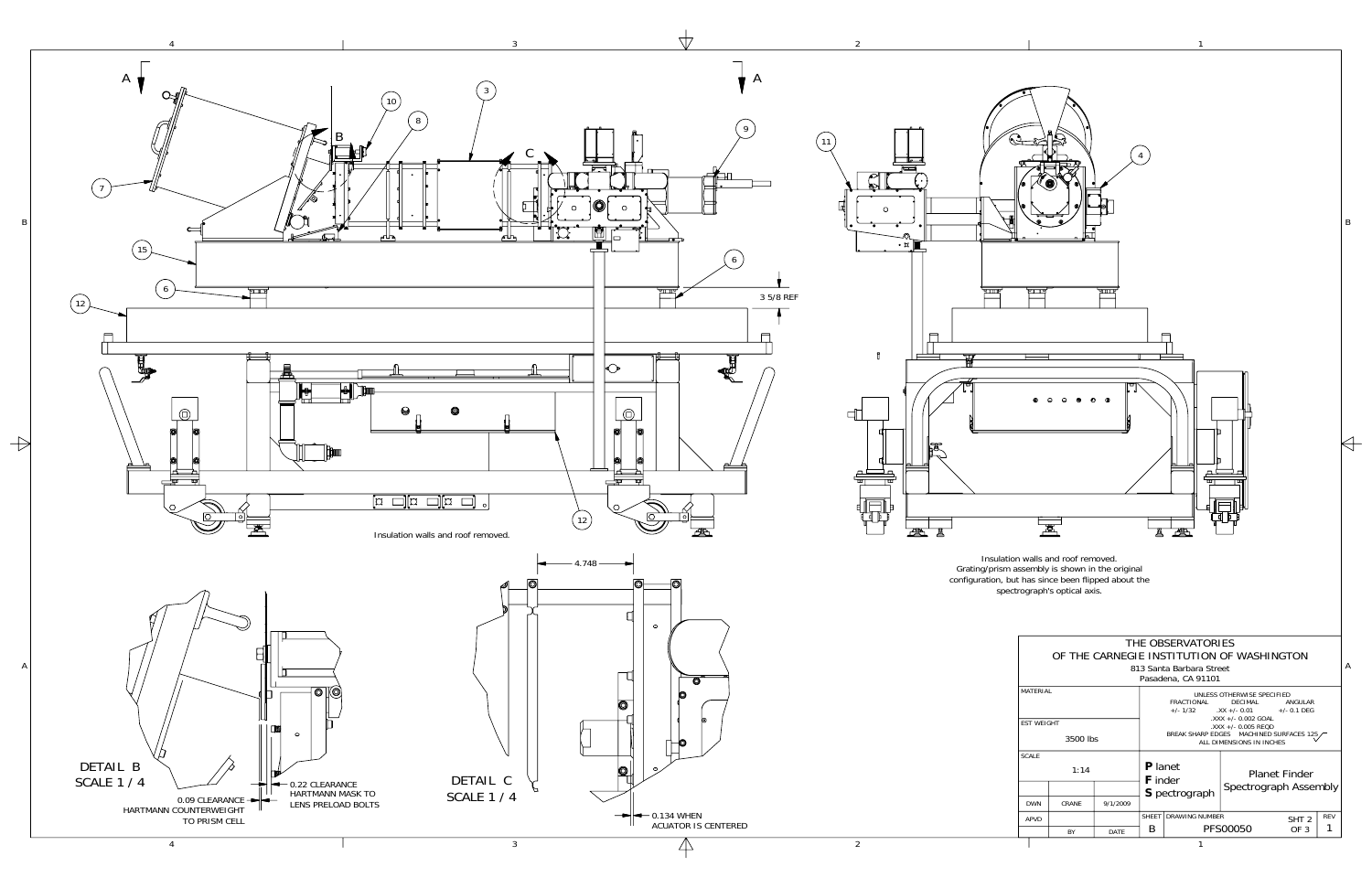

A

B